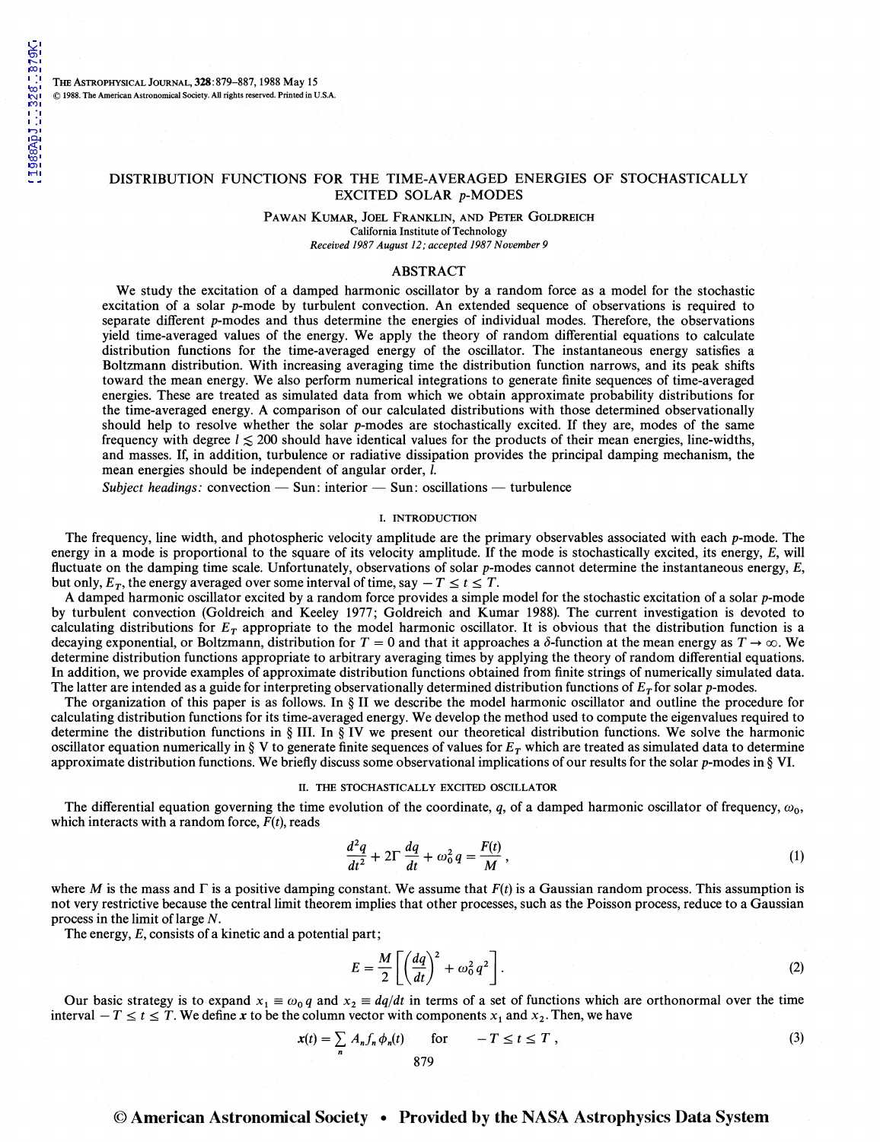THE AsTROPHYSICAL JoURNAL, 328:879-887, 1988 May 15 © 1988. The American Astronomical Society. All rights reserved. Printed in U.S.A.

# DISTRIBUTION FUNCTIONS FOR THE TIME-AVERAGED ENERGIES OF STOCHASTICALLY EXCITED SOLAR p-MODES

#### PAWAN KUMAR, JOEL FRANKLIN, AND PETER GOLDREICH California Institute of Technology *Received 1987 August 12; accepted 1987 November 9*

# ABSTRACT

We study the excitation of a damped harmonic oscillator by a random force as a model for the stochastic excitation of a solar p-mode by turbulent convection. An extended sequence of observations is required to separate different p-modes and thus determine the energies of individual modes. Therefore, the observations yield time-averaged values of the energy. We apply the theory of random differential equations to calculate distribution functions for the time-averaged energy of the oscillator. The instantaneous energy satisfies a Boltzmann distribution. With increasing averaging time the distribution function narrows, and its peak shifts toward the mean energy. We also perform numerical integrations to generate finite sequences of time-averaged energies. These are treated as simulated data from which we obtain approximate probability distributions for the time-averaged energy. A comparison of our calculated distributions with those determined observationally should help to resolve whether the solar p-modes are stochastically excited. If they are, modes of the same frequency with degree  $l \le 200$  should have identical values for the products of their mean energies, line-widths, and masses. If, in addition, turbulence or radiative dissipation provides the principal damping mechanism, the mean energies should be independent of angular order,  $l$ .

*Subject headings:* convection — Sun: interior — Sun: oscillations — turbulence

#### I. INTRODUCTION

The frequency, line width, and photospheric velocity amplitude are the primary observables associated with each p-mode. The energy in a mode is proportional to the square of its velocity amplitude. If the mode is stochastically excited, its energy, E, will fluctuate on the damping time scale. Unfortunately, observations of solar p-modes cannot determine the instantaneous energy, E, but only,  $E_T$ , the energy averaged over some interval of time, say  $-T \le t \le T$ .

A damped harmonic oscillator excited by a random force provides a simple model for the stochastic excitation of a solar p-mode by turbulent convection (Goldreich and Keeley 1977; Goldreich and Kumar 1988). The current investigation is devoted to calculating distributions for  $E<sub>T</sub>$  appropriate to the model harmonic oscillator. It is obvious that the distribution function is a decaying exponential, or Boltzmann, distribution for  $T=0$  and that it approaches a  $\delta$ -function at the mean energy as  $T\to\infty$ . We determine distribution functions appropriate to arbitrary averaging times by applying the theory of random differential equations. In addition, we provide examples of approximate distribution functions obtained from finite strings of numerically simulated data. The latter are intended as a guide for interpreting observationally determined distribution functions of  $E<sub>T</sub>$  for solar p-modes.

The organization of this paper is as follows. In § II we describe the model harmonic oscillator and outline the procedure for calculating distribution functions for its time-averaged energy. We develop the method used to compute the eigenvalues required to determine the distribution functions in § III. In § IV we present our theoretical distribution functions. We solve the harmonic oscillator equation numerically in  $\S$  V to generate finite sequences of values for  $E_T$  which are treated as simulated data to determine approximate distribution functions. We briefly discuss some observational implications of our results for the solar  $p$ -modes in § VI.

#### II. THE STOCHASTICALLY EXCITED OSCILLATOR

The differential equation governing the time evolution of the coordinate, *q*, of a damped harmonic oscillator of frequency,  $\omega_0$ , which interacts with a random force, *F(t),* reads

$$
\frac{d^2q}{dt^2} + 2\Gamma \frac{dq}{dt} + \omega_0^2 q = \frac{F(t)}{M},\qquad(1)
$$

where *M* is the mass and  $\Gamma$  is a positive damping constant. We assume that  $F(t)$  is a Gaussian random process. This assumption is not very restrictive because the central limit theorem implies that other processes, such as the Poisson process, reduce to a Gaussian process in the limit of large  $N$ .

The energy, E, consists of a kinetic and a potential part;

$$
E = \frac{M}{2} \left[ \left( \frac{dq}{dt} \right)^2 + \omega_0^2 q^2 \right].
$$
 (2)

Our basic strategy is to expand  $x_1 \equiv \omega_0 q$  and  $x_2 \equiv dq/dt$  in terms of a set of functions which are orthonormal over the time interval  $-T \le t \le T$ . We define *x* to be the column vector with components  $x_1$  and  $x_2$ . Then, we have

$$
x(t) = \sum_{n} A_{n} f_{n} \phi_{n}(t) \quad \text{for} \quad -T \le t \le T,
$$
\n(3)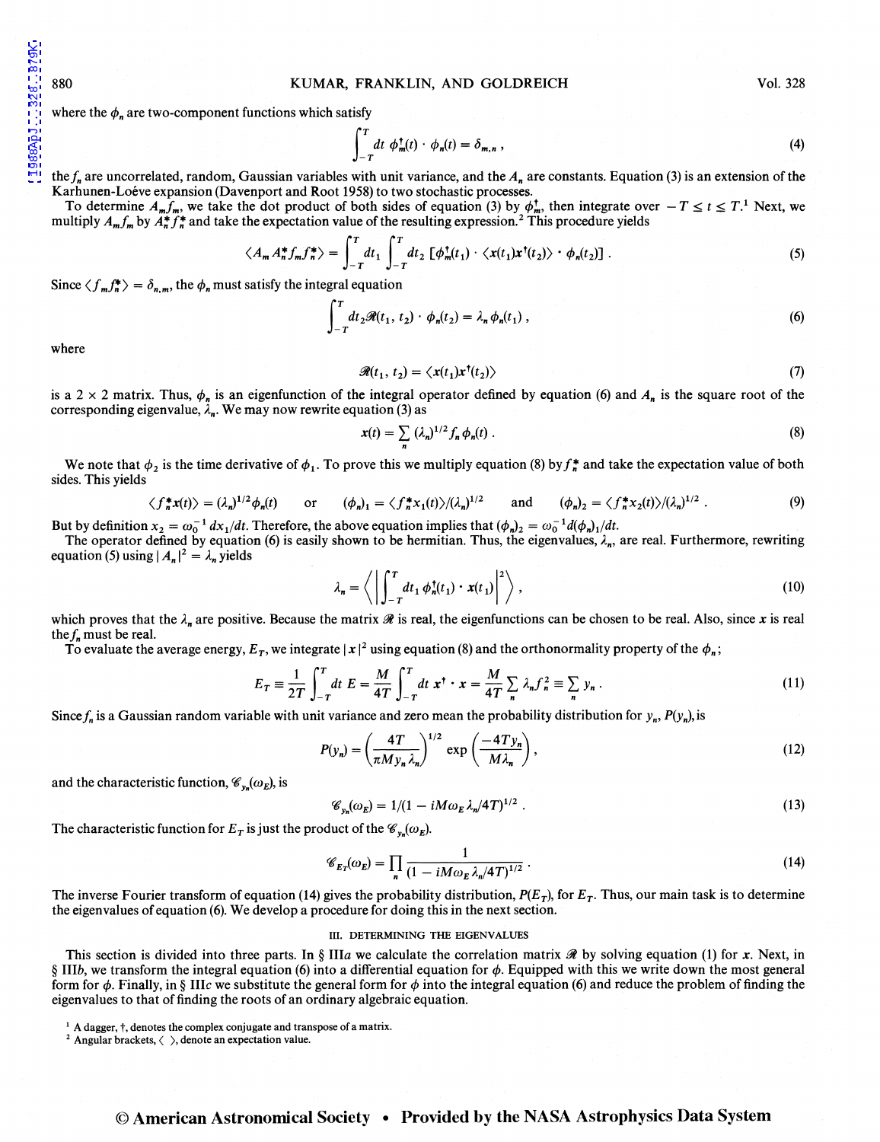1988ApJ...328..879K

#### 880 KUMAR, FRANKLIN, AND GOLDREICH Vol. 328

where the  $\phi_n$  are two-component functions which satisfy

$$
\int_{-T}^{T} dt \phi_m^{\dagger}(t) \cdot \phi_n(t) = \delta_{m,n} , \qquad (4)
$$

the  $f_n$  are uncorrelated, random, Gaussian variables with unit variance, and the  $A_n$  are constants. Equation (3) is an extension of the Karhunen-Loéve expansion (Davenport and Root 1958) to two stochastic processes.

To determine  $A_m f_m$ , we take the dot product of both sides of equation (3) by  $\phi_m^+$ , then integrate over  $-T \le t \le T$ .<sup>1</sup> Next, we multiply  $A_m f_m$  by  $A_n^* f_n^*$  and take the expectation value of the resulting expression.<sup>2</sup> This procedure yields

$$
\langle A_m A_n^* f_m f_n^* \rangle = \int_{-T}^{T} dt_1 \int_{-T}^{T} dt_2 \left[ \phi_m^{\dagger}(t_1) \cdot \langle x(t_1) x^{\dagger}(t_2) \rangle \cdot \phi_n(t_2) \right]. \tag{5}
$$

Since  $\langle f_m f_n^* \rangle = \delta_{n,m}$ , the  $\phi_n$  must satisfy the integral equation

$$
\int_{-T}^{T} dt_2 \mathcal{R}(t_1, t_2) \cdot \phi_n(t_2) = \lambda_n \phi_n(t_1) , \qquad (6)
$$

where

$$
\mathcal{R}(t_1, t_2) = \langle x(t_1)x^{\dagger}(t_2) \rangle \tag{7}
$$

is a 2 x 2 matrix. Thus,  $\phi_n$  is an eigenfunction of the integral operator defined by equation (6) and  $A_n$  is the square root of the corresponding eigenvalue,  $\lambda_n$ . We may now rewrite equation (3) as

$$
x(t) = \sum_{n} (\lambda_n)^{1/2} f_n \phi_n(t) . \tag{8}
$$

We note that  $\phi_2$  is the time derivative of  $\phi_1$ . To prove this we multiply equation (8) by  $f_n^*$  and take the expectation value of both sides. This yields

$$
\langle f_n^* x(t) \rangle = (\lambda_n)^{1/2} \phi_n(t) \quad \text{or} \quad (\phi_n)_1 = \langle f_n^* x_1(t) \rangle / (\lambda_n)^{1/2} \quad \text{and} \quad (\phi_n)_2 = \langle f_n^* x_2(t) \rangle / (\lambda_n)^{1/2} . \tag{9}
$$

But by definition  $x_2 = \omega_0^{-1} dx_1/dt$ . Therefore, the above equation implies that  $(\phi_n)_2 = \omega_0^{-1} d(\phi_n)_1/dt$ .

The operator defined by equation (6) is easily shown to be hermitian. Thus, the eigenvalues,  $\lambda_n$ , are real. Furthermore, rewriting equation (5) using  $|A_n|^2 = \lambda_n$  yields

$$
\lambda_n = \left\langle \left| \int_{-T}^T dt_1 \, \phi_n^{\dagger}(t_1) \cdot x(t_1) \right|^2 \right\rangle, \tag{10}
$$

which proves that the  $\lambda_n$  are positive. Because the matrix  $\mathcal R$  is real, the eigenfunctions can be chosen to be real. Also, since *x* is real the  $f_n$  must be real.

To evaluate the average energy,  $E_T$ , we integrate  $|x|^2$  using equation (8) and the orthonormality property of the  $\phi_n$ ;

$$
E_T \equiv \frac{1}{2T} \int_{-T}^{T} dt \ E = \frac{M}{4T} \int_{-T}^{T} dt \ x^{\dagger} \cdot x = \frac{M}{4T} \sum_{n} \lambda_n f_n^2 \equiv \sum_{n} y_n \ . \tag{11}
$$

Since  $f_n$  is a Gaussian random variable with unit variance and zero mean the probability distribution for  $y_n$ ,  $P(y_n)$ , is

$$
P(y_n) = \left(\frac{4T}{\pi M y_n \lambda_n}\right)^{1/2} \exp\left(\frac{-4T y_n}{M \lambda_n}\right),\tag{12}
$$

and the characteristic function,  $\mathscr{C}_{v_n}(\omega_E)$ , is

$$
\mathcal{C}_{y_n}(\omega_E) = 1/(1 - iM\omega_E \lambda_n/4T)^{1/2} \tag{13}
$$

The characteristic function for  $E_T$  is just the product of the  $\mathscr{C}_{v_n}(\omega_E)$ .

$$
\mathscr{C}_{E_T}(\omega_E) = \prod_n \frac{1}{(1 - iM\omega_E \lambda_n/4T)^{1/2}}.
$$
\n(14)

The inverse Fourier transform of equation (14) gives the probability distribution,  $P(E_T)$ , for  $E_T$ . Thus, our main task is to determine the eigenvalues of equation (6). We develop a procedure for doing this in the next section.

### III. DETERMINING THE EIGENVALUES

This section is divided into three parts. In § IIIa we calculate the correlation matrix  $\mathcal R$  by solving equation (1) for *x*. Next, in § IIIb, we transform the integral equation (6) into a differential equation for  $\phi$ . Equipped with this we write down the most general form for  $\phi$ . Finally, in § IIIc we substitute the general form for  $\phi$  into the integral equation (6) and reduce the problem of finding the eigenvalues to that of finding the roots of an ordinary algebraic equation.

<sup>&</sup>lt;sup>1</sup> A dagger,  $\dagger$ , denotes the complex conjugate and transpose of a matrix.<br><sup>2</sup> Angular brackets,  $\langle \rangle$ , denote an expectation value.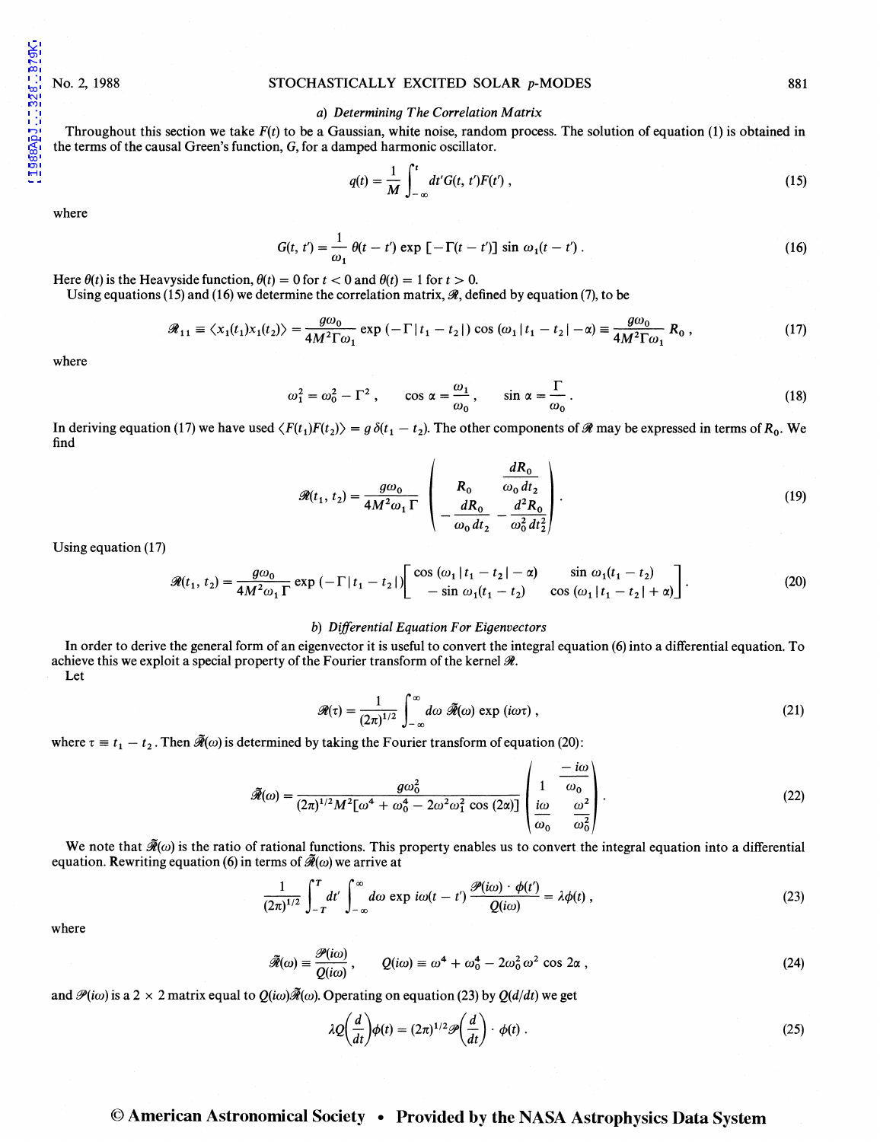1988ApJ...328..879K

# No. 2, 1988 STOCHASTICALLY EXCITED SOLAR p-MODES 881

# a) *Determining The Correlation Matrix*

Throughout this section we take  $F(t)$  to be a Gaussian, white noise, random process. The solution of equation (1) is obtained in the terms of the causal Green's function, G, for a damped harmonic oscillator.

$$
q(t) = \frac{1}{M} \int_{-\infty}^{t} dt' G(t, t') F(t'), \qquad (15)
$$

where

$$
G(t, t') = \frac{1}{\omega_1} \theta(t - t') \exp\left[-\Gamma(t - t')\right] \sin \omega_1(t - t') \,. \tag{16}
$$

Here  $\theta(t)$  is the Heavyside function,  $\theta(t) = 0$  for  $t < 0$  and  $\theta(t) = 1$  for  $t > 0$ .

Using equations (15) and (16) we determine the correlation matrix,  $\mathcal{R}$ , defined by equation (7), to be

$$
\mathcal{R}_{11} \equiv \langle x_1(t_1)x_1(t_2) \rangle = \frac{g\omega_0}{4M^2\Gamma\omega_1} \exp\left(-\Gamma|t_1 - t_2|\right) \cos\left(\omega_1|t_1 - t_2| - \alpha\right) \equiv \frac{g\omega_0}{4M^2\Gamma\omega_1} R_0 ,\qquad (17)
$$

where

$$
\omega_1^2 = \omega_0^2 - \Gamma^2 \,, \qquad \cos \alpha = \frac{\omega_1}{\omega_0} \,, \qquad \sin \alpha = \frac{\Gamma}{\omega_0} \,. \tag{18}
$$

In deriving equation (17) we have used  $\langle F(t_1)F(t_2)\rangle = g \delta(t_1 - t_2)$ . The other components of  $\Re$  may be expressed in terms of  $R_0$ . We find

$$
\mathcal{R}(t_1, t_2) = \frac{g\omega_0}{4M^2\omega_1\Gamma} \left( R_0 \frac{\frac{dR_0}{\omega_0 dt_2}}{-\frac{dR_0}{\omega_0 dt_2} - \frac{d^2R_0}{\omega_0^2 dt_2^2}} \right).
$$
(19)

Using equation (17)

$$
\mathcal{R}(t_1, t_2) = \frac{g\omega_0}{4M^2\omega_1\Gamma} \exp\left(-\Gamma|t_1 - t_2|\right) \begin{bmatrix} \cos\left(\omega_1|t_1 - t_2| - \alpha\right) & \sin\omega_1(t_1 - t_2) \\ -\sin\omega_1(t_1 - t_2) & \cos\left(\omega_1|t_1 - t_2| + \alpha\right) \end{bmatrix} . \tag{20}
$$

## b) *Differential Equation For Eigenvectors*

In order to derive the general form of an eigenvector it is useful to convert the integral equation (6) into a differential equation. To achieve this we exploit a special property of the Fourier transform of the kernel  $\mathcal{R}$ . Let

$$
\mathcal{R}(\tau) = \frac{1}{(2\pi)^{1/2}} \int_{-\infty}^{\infty} d\omega \ \tilde{\mathcal{R}}(\omega) \exp(i\omega \tau) , \qquad (21)
$$

where  $\tau \equiv t_1 - t_2$ . Then  $\tilde{\mathcal{R}}(\omega)$  is determined by taking the Fourier transform of equation (20):

$$
\widetilde{\mathcal{R}}(\omega) = \frac{g\omega_0^2}{(2\pi)^{1/2}M^2[\omega^4 + \omega_0^4 - 2\omega^2\omega_1^2\cos(2\alpha)]}\left(\begin{array}{ccc}\n-\frac{i\omega}{\omega_0} \\
1 & \frac{-i\omega}{\omega_0} \\
\frac{i\omega}{\omega_0} & \frac{\omega^2}{\omega_0^2}\n\end{array}\right).
$$
\n(22)

We note that  $\mathcal{F}(\omega)$  is the ratio of rational functions. This property enables us to convert the integral equation into a differential equation. Rewriting equation (6) in terms of  $\tilde{\mathcal{R}}(\omega)$  we arrive at

$$
\frac{1}{(2\pi)^{1/2}}\int_{-T}^{T}dt'\int_{-\infty}^{\infty}d\omega \exp i\omega(t-t')\frac{\mathscr{P}(i\omega)\cdot\phi(t')}{Q(i\omega)}=\lambda\phi(t)\,,\qquad (23)
$$

where

$$
\widetilde{\mathcal{A}}(\omega) \equiv \frac{\mathcal{P}(i\omega)}{Q(i\omega)}, \qquad Q(i\omega) \equiv \omega^4 + \omega_0^4 - 2\omega_0^2 \omega^2 \cos 2\alpha , \qquad (24)
$$

and  $\mathcal{P}(i\omega)$  is a 2 x 2 matrix equal to  $Q(i\omega)\tilde{\mathcal{R}}(\omega)$ . Operating on equation (23) by  $Q(d/dt)$  we get

$$
\lambda Q\left(\frac{d}{dt}\right)\phi(t) = (2\pi)^{1/2} \mathscr{P}\left(\frac{d}{dt}\right) \cdot \phi(t) \tag{25}
$$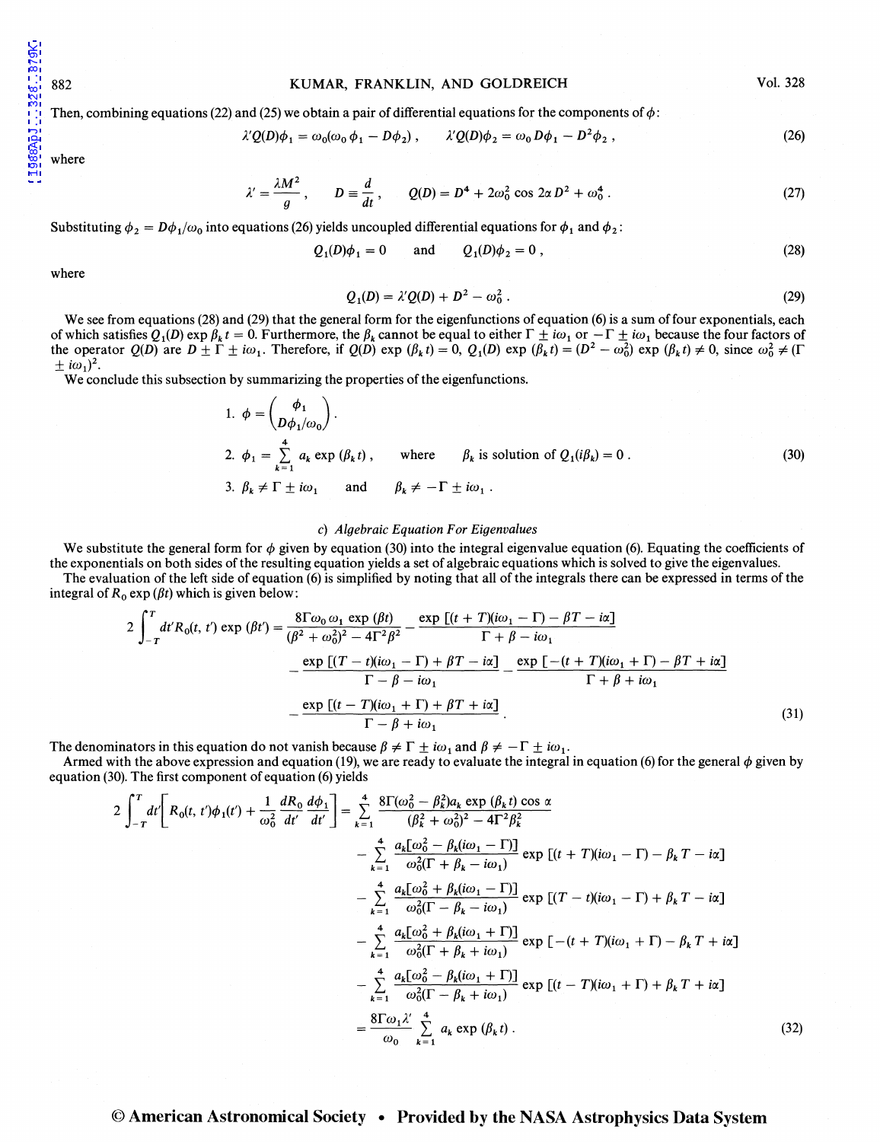## 882 KUMAR, FRANKLIN, AND GOLDREICH

Vol. 328

Then, combining equations (22) and (25) we obtain a pair of differential equations for the components of  $\phi$ :

$$
\lambda' Q(D)\phi_1 = \omega_0(\omega_0 \phi_1 - D\phi_2), \qquad \lambda' Q(D)\phi_2 = \omega_0 D\phi_1 - D^2\phi_2, \qquad (26)
$$

where

$$
\lambda' = \frac{\lambda M^2}{g}, \qquad D \equiv \frac{d}{dt}, \qquad Q(D) = D^4 + 2\omega_0^2 \cos 2\alpha D^2 + \omega_0^4 \,. \tag{27}
$$

Substituting  $\phi_2 = D\phi_1/\omega_0$  into equations (26) yields uncoupled differential equations for  $\phi_1$  and  $\phi_2$ :

$$
Q_1(D)\phi_1 = 0
$$
 and  $Q_1(D)\phi_2 = 0$ , (28)

where

$$
Q_1(D) = \lambda' Q(D) + D^2 - \omega_0^2 \,. \tag{29}
$$

We see from equations (28) and (29) that the general form for the eigenfunctions of equation (6) is a sum of four exponentials, each of which satisfies  $Q_1(D)$  exp  $\beta_k t = 0$ . Furthermore, the  $\beta_k$  cannot be equal to either  $\Gamma \pm i\omega_1$  or  $-\Gamma \pm i\omega_1$  because the four factors of the operator  $Q(D)$  are  $D \pm \Gamma \pm i\omega_1$ . Therefore, if  $Q(D)$  exp  $(\beta_k t) = 0$ ,  $Q_1(D)$  exp  $(\beta_k t) = (D^2 - \omega_0^2)$  exp  $(\beta_k t) \neq 0$ , since  $\omega_0^2 \neq (\Gamma)$  $\pm i\omega_1)^2$ .

We conclude this subsection by summarizing the properties of the eigenfunctions.

1. 
$$
\phi = \begin{pmatrix} \phi_1 \\ D\phi_1/\omega_0 \end{pmatrix}
$$
.  
\n2.  $\phi_1 = \sum_{k=1}^4 a_k \exp(\beta_k t)$ , where  $\beta_k$  is solution of  $Q_1(i\beta_k) = 0$ .  
\n3.  $\beta_k \neq \Gamma \pm i\omega_1$  and  $\beta_k \neq -\Gamma \pm i\omega_1$ .  
\n(30)

#### c) *Algebraic Equation For Eigenvalues*

We substitute the general form for  $\phi$  given by equation (30) into the integral eigenvalue equation (6). Equating the coefficients of the exponentials on both sides of the resulting equation yields a set of algebraic equations which is solved to give the eigenvalues.

The evaluation of the left side of equation (6) is simplified by noting that all of the integrals there can be expressed in terms of the integral of  $R_0 \exp(\beta t)$  which is given below:

$$
2\int_{-T}^{T} dt' R_{0}(t, t') \exp(\beta t') = \frac{8\Gamma\omega_{0}\omega_{1} \exp(\beta t)}{(\beta^{2} + \omega_{0}^{2})^{2} - 4\Gamma^{2}\beta^{2}} - \frac{\exp\left[(t + T)(i\omega_{1} - \Gamma) - \beta T - i\alpha\right]}{\Gamma + \beta - i\omega_{1}}
$$

$$
-\frac{\exp\left[(T - t)(i\omega_{1} - \Gamma) + \beta T - i\alpha\right]}{\Gamma - \beta - i\omega_{1}} - \frac{\exp\left[-(t + T)(i\omega_{1} + \Gamma) - \beta T + i\alpha\right]}{\Gamma + \beta + i\omega_{1}}
$$

$$
-\frac{\exp\left[(t - T)(i\omega_{1} + \Gamma) + \beta T + i\alpha\right]}{\Gamma - \beta + i\omega_{1}}.
$$
(31)

The denominators in this equation do not vanish because  $\beta \neq \Gamma \pm i\omega_1$  and  $\beta \neq -\Gamma \pm i\omega_1$ .

Armed with the above expression and equation (19), we are ready to evaluate the integral in equation (6) for the general  $\phi$  given by equation (30). The first component of equation (6) yields

$$
2\int_{-T}^{T} dt \left[ R_{0}(t, t')\phi_{1}(t') + \frac{1}{\omega_{0}^{2}} \frac{dR_{0}}{dt'} \frac{d\phi_{1}}{dt'} \right] = \sum_{k=1}^{4} \frac{8\Gamma(\omega_{0}^{2} - \beta_{k}^{2})a_{k} \exp(\beta_{k} t) \cos \alpha}{(\beta_{k}^{2} + \omega_{0}^{2})^{2} - 4\Gamma^{2} \beta_{k}^{2}} - \sum_{k=1}^{4} \frac{a_{k}[\omega_{0}^{2} - \beta_{k}(i\omega_{1} - \Gamma)]}{\omega_{0}^{2}(\Gamma + \beta_{k} - i\omega_{1})} \exp[(t + T)(i\omega_{1} - \Gamma) - \beta_{k}T - i\alpha] - \sum_{k=1}^{4} \frac{a_{k}[\omega_{0}^{2} + \beta_{k}(i\omega_{1} - \Gamma)]}{\omega_{0}^{2}(\Gamma - \beta_{k} - i\omega_{1})} \exp[(T - t)(i\omega_{1} - \Gamma) + \beta_{k}T - i\alpha] - \sum_{k=1}^{4} \frac{a_{k}[\omega_{0}^{2} + \beta_{k}(i\omega_{1} + \Gamma)]}{\omega_{0}^{2}(\Gamma + \beta_{k} + i\omega_{1})} \exp[-(t + T)(i\omega_{1} + \Gamma) - \beta_{k}T + i\alpha] - \sum_{k=1}^{4} \frac{a_{k}[\omega_{0}^{2} - \beta_{k}(i\omega_{1} + \Gamma)]}{\omega_{0}^{2}(\Gamma - \beta_{k} + i\omega_{1})} \exp[(t - T)(i\omega_{1} + \Gamma) + \beta_{k}T + i\alpha] - \sum_{k=1}^{4} \frac{a_{k}[\omega_{1}^{2} - \beta_{k}(i\omega_{1} + \Gamma)]}{\omega_{0}^{2}(\Gamma - \beta_{k} + i\omega_{1})} \exp[(t - T)(i\omega_{1} + \Gamma) + \beta_{k}T + i\alpha] - \sum_{k=1}^{4} \frac{a_{k}[\omega_{1}^{2} - \beta_{k}(i\omega_{1} + \Gamma)]}{\omega_{0}^{2}(\Gamma - \beta_{k} + i\omega_{1})} \exp[(t - T)(i\omega_{1} + \Gamma) + \beta_{k}T + i\alpha] - \sum_{k=1}^{4} \frac{a_{k}[\omega_{1}^{2
$$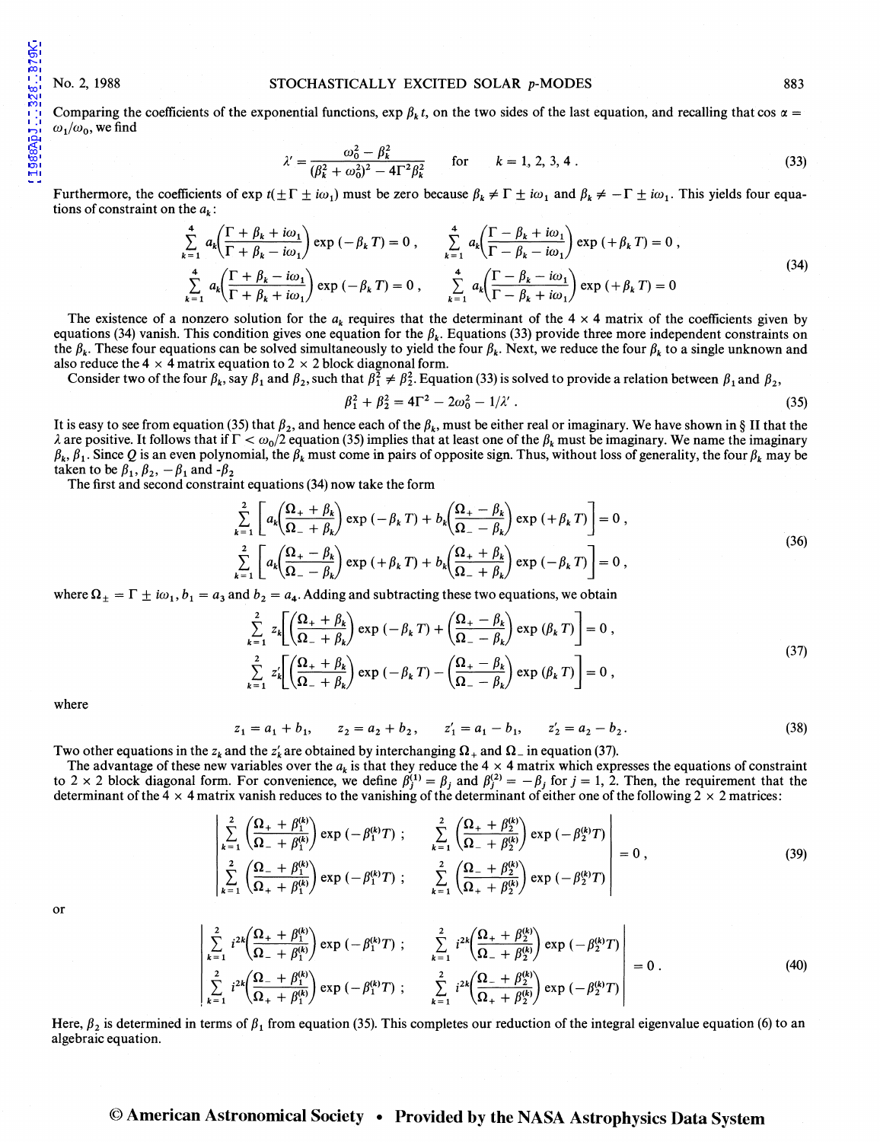1988ApJ...328..879K

## No. 2, 1988 STOCHASTICALLY EXCITED SOLAR p-MODES 883

Comparing the coefficients of the exponential functions,  $\exp \beta_k t$ , on the two sides of the last equation, and recalling that cos  $\alpha =$  $\omega_1/\omega_0$ , we find

$$
\lambda' = \frac{\omega_0^2 - \beta_k^2}{(\beta_k^2 + \omega_0^2)^2 - 4\Gamma^2 \beta_k^2} \quad \text{for} \quad k = 1, 2, 3, 4 \,. \tag{33}
$$

Furthermore, the coefficients of  $\exp t(\pm \Gamma \pm i\omega_1)$  must be zero because  $\beta_k \neq \Gamma \pm i\omega_1$  and  $\beta_k \neq -\Gamma \pm i\omega_1$ . This yields four equations of constraint on the  $a_k$ :

$$
\sum_{k=1}^{4} a_k \left( \frac{\Gamma + \beta_k + i\omega_1}{\Gamma + \beta_k - i\omega_1} \right) \exp\left(-\beta_k T\right) = 0, \qquad \sum_{k=1}^{4} a_k \left( \frac{\Gamma - \beta_k + i\omega_1}{\Gamma - \beta_k - i\omega_1} \right) \exp\left(+\beta_k T\right) = 0,
$$
\n
$$
\sum_{k=1}^{4} a_k \left( \frac{\Gamma + \beta_k - i\omega_1}{\Gamma + \beta_k + i\omega_1} \right) \exp\left(-\beta_k T\right) = 0, \qquad \sum_{k=1}^{4} a_k \left( \frac{\Gamma - \beta_k - i\omega_1}{\Gamma - \beta_k + i\omega_1} \right) \exp\left(+\beta_k T\right) = 0
$$
\n(34)

The existence of a nonzero solution for the  $a_k$  requires that the determinant of the  $4 \times 4$  matrix of the coefficients given by equations (34) vanish. This condition gives one equation for the  $\beta_k$ . Equations (33) provide three more independent constraints on the  $\beta_k$ . These four equations can be solved simultaneously to yield the four  $\beta_k$ . Next, we reduce the four  $\beta_k$  to a single unknown and also reduce the 4  $\times$  4 matrix equation to 2  $\times$  2 block diagnonal form.

Consider two of the four  $\beta_k$ , say  $\beta_1$  and  $\beta_2$ , such that  $\beta_1^2 \neq \beta_2^2$ . Equation (33) is solved to provide a relation between  $\beta_1$  and  $\beta_2$ ,

$$
\beta_1^2 + \beta_2^2 = 4\Gamma^2 - 2\omega_0^2 - 1/\lambda' \,. \tag{35}
$$

It is easy to see from equation (35) that  $\beta_2$ , and hence each of the  $\beta_k$ , must be either real or imaginary. We have shown in § II that the  $\lambda$  are positive. It follows that if  $\Gamma < \omega_0/2$  equation (35) implies that at least one of the  $\beta_k$  must be imaginary. We name the imaginary  $\beta_k$ ,  $\beta_1$ . Since Q is an even polynomial, the  $\beta_k$  must come in pairs of opposite sign. Thus, without loss of generality, the four  $\beta_k$  may be taken to be  $\beta_1$ ,  $\beta_2$ ,  $-\beta_1$  and  $-\beta_2$ 

The first and second constraint equations (34) now take the form

$$
\sum_{k=1}^{2} \left[ a_k \left( \frac{\Omega_+ + \beta_k}{\Omega_- + \beta_k} \right) \exp \left( -\beta_k \right) + b_k \left( \frac{\Omega_+ - \beta_k}{\Omega_- - \beta_k} \right) \exp \left( +\beta_k \right) \right] = 0,
$$
\n
$$
\sum_{k=1}^{2} \left[ a_k \left( \frac{\Omega_+ - \beta_k}{\Omega_- - \beta_k} \right) \exp \left( +\beta_k \right) + b_k \left( \frac{\Omega_+ + \beta_k}{\Omega_- + \beta_k} \right) \exp \left( -\beta_k \right) \right] = 0,
$$
\n(36)

where  $\Omega_{\pm} = \Gamma \pm i\omega_1$ ,  $b_1 = a_3$  and  $b_2 = a_4$ . Adding and subtracting these two equations, we obtain

$$
\sum_{k=1}^{2} z_k \left[ \left( \frac{\Omega_+ + \beta_k}{\Omega_- + \beta_k} \right) \exp \left( -\beta_k T \right) + \left( \frac{\Omega_+ - \beta_k}{\Omega_- - \beta_k} \right) \exp \left( \beta_k T \right) \right] = 0,
$$
\n
$$
\sum_{k=1}^{2} z'_k \left[ \left( \frac{\Omega_+ + \beta_k}{\Omega_- + \beta_k} \right) \exp \left( -\beta_k T \right) - \left( \frac{\Omega_+ - \beta_k}{\Omega_- - \beta_k} \right) \exp \left( \beta_k T \right) \right] = 0,
$$
\n(37)

where

$$
z_1 = a_1 + b_1
$$
,  $z_2 = a_2 + b_2$ ,  $z'_1 = a_1 - b_1$ ,  $z'_2 = a_2 - b_2$ . (38)

Two other equations in the  $z_k$  and the  $z'_k$  are obtained by interchanging  $\Omega_+$  and  $\Omega_-$  in equation (37).

The advantage of these new variables over the  $a_k$  is that they reduce the  $4 \times 4$  matrix which expresses the equations of constraint to 2 x 2 block diagonal form. For convenience, we define  $\beta_j^{(1)} = \beta_j$  and  $\beta_j^{(2)} = -\beta_j$  for  $j = 1, 2$ . Then, the requirement that the determinant of the 4  $\times$  4 matrix vanish reduces to the vanishing of the determinant of either one of the following  $2 \times 2$  matrices:

$$
\begin{vmatrix}\n\sum_{k=1}^{2} \left( \frac{\Omega_{+} + \beta_{1}^{(k)}}{\Omega_{-} + \beta_{1}^{(k)}} \right) \exp \left( -\beta_{1}^{(k)} T \right) ; & \sum_{k=1}^{2} \left( \frac{\Omega_{+} + \beta_{2}^{(k)}}{\Omega_{-} + \beta_{2}^{(k)}} \right) \exp \left( -\beta_{2}^{(k)} T \right) \\
\sum_{k=1}^{2} \left( \frac{\Omega_{-} + \beta_{1}^{(k)}}{\Omega_{+} + \beta_{1}^{(k)}} \right) \exp \left( -\beta_{1}^{(k)} T \right) ; & \sum_{k=1}^{2} \left( \frac{\Omega_{-} + \beta_{2}^{(k)}}{\Omega_{+} + \beta_{2}^{(k)}} \right) \exp \left( -\beta_{2}^{(k)} T \right)\n\end{vmatrix} = 0 ,
$$
\n(39)

or

$$
\begin{vmatrix} \frac{2}{k-1} i^{2k} \left( \frac{\Omega_{+} + \beta_{1}^{(k)}}{\Omega_{-} + \beta_{1}^{(k)}} \right) \exp \left( -\beta_{1}^{(k)} T \right) ; & \frac{2}{k-1} i^{2k} \left( \frac{\Omega_{+} + \beta_{2}^{(k)}}{\Omega_{-} + \beta_{2}^{(k)}} \right) \exp \left( -\beta_{2}^{(k)} T \right) \\ \frac{2}{k-1} i^{2k} \left( \frac{\Omega_{-} + \beta_{1}^{(k)}}{\Omega_{+} + \beta_{1}^{(k)}} \right) \exp \left( -\beta_{1}^{(k)} T \right) ; & \frac{2}{k-1} i^{2k} \left( \frac{\Omega_{-} + \beta_{2}^{(k)}}{\Omega_{+} + \beta_{2}^{(k)}} \right) \exp \left( -\beta_{2}^{(k)} T \right) \end{vmatrix} = 0.
$$
\n(40)

Here,  $\beta_2$  is determined in terms of  $\beta_1$  from equation (35). This completes our reduction of the integral eigenvalue equation (6) to an algebraic equation.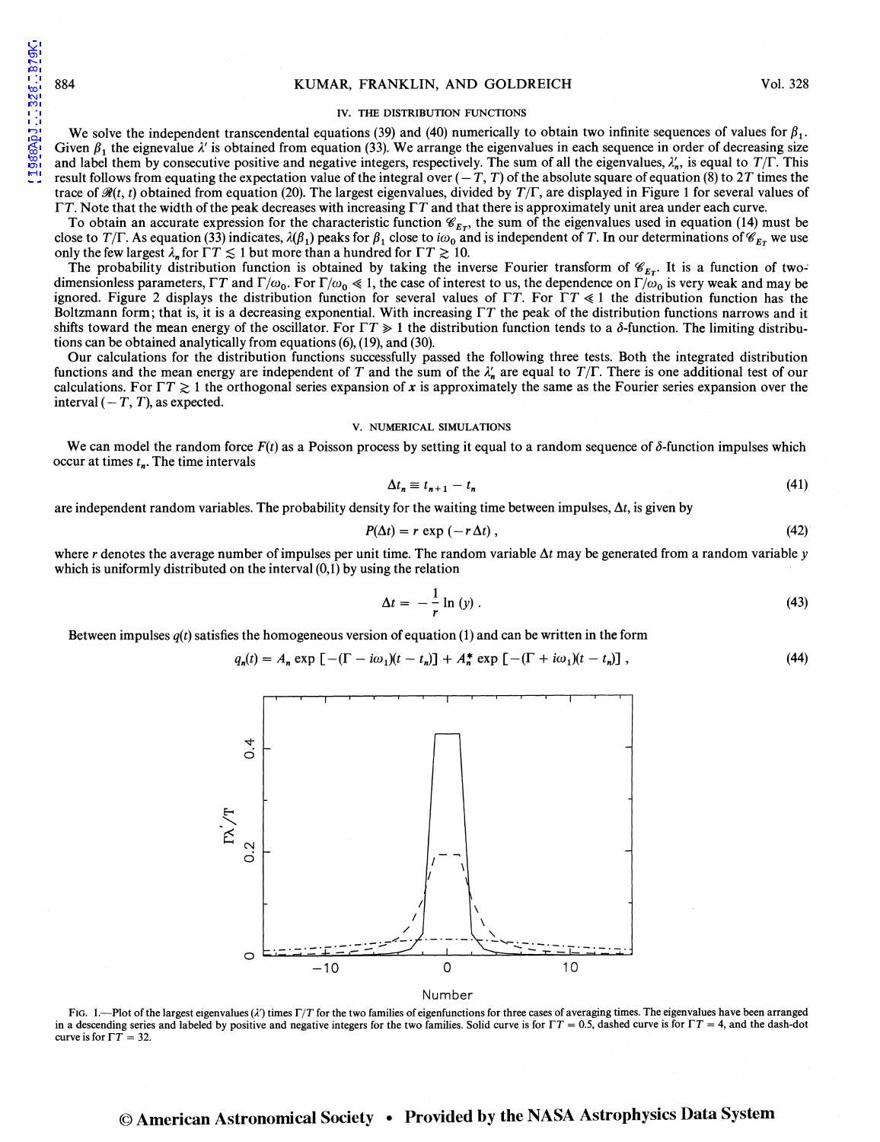1988ApJ...328..879K

#### IV. THE DISTRIBUTION FUNCTIONS

We solve the independent transcendental equations (39) and (40) numerically to obtain two infinite sequences of values for  $\beta_1$ . Given  $\beta_1$ , the eignevalue  $\lambda'$  is obtained from equation (33). We arrange the eigenvalues in each sequence in order of decreasing size and label them by consecutive positive and negative integers, respectively. The sum of all the eigenvalues,  $\lambda_n'$ , is equal to  $T/\Gamma$ . This result follows from equating the expectation value of the integral over  $(-T, T)$  of the absolute square of equation (8) to 2T times the trace of  $\mathcal{R}(t, t)$  obtained from equation (20). The largest eigenvalues, divided by  $T/\Gamma$ , are displayed in Figure 1 for several values of  $\Gamma T$ . Note that the width of the peak decreases with increasing  $\Gamma T$  and that there is approximately unit area under each curve.

To obtain an accurate expression for the characteristic function  $\mathcal{C}_{E_T}$ , the sum of the eigenvalues used in equation (14) must be close to *T*/ $\Gamma$ . As equation (33) indicates,  $\lambda(\beta_1)$  peaks for  $\beta_1$  close to i $\omega_0$  and is independent of *T*. In our determinations of  $\mathscr{C}_{E_T}$  we use only the few largest  $\lambda_n$  for  $\Gamma T \lesssim 1$  but more than a hundred for  $\Gamma T \gtrsim 10$ .

The probability distribution function is obtained by taking the inverse Fourier transform of  $\mathcal{C}_{E_T}$ . It is a function of twodimensionless parameters,  $\Gamma T$  and  $\Gamma/\omega_0$ . For  $\Gamma/\omega_0 \ll 1$ , the case of interest to us, the dependence on  $\Gamma/\omega_0$  is very weak and may be ignored. Figure 2 displays the distribution function for several values of  $\Gamma T$ . For  $\Gamma T \ll 1$  the distribution function has the Boltzmann form; that is, it is a decreasing exponential. With increasing  $\Gamma T$  the peak of the distribution functions narrows and it shifts toward the mean energy of the oscillator. For  $\Gamma T \ge 1$  the distribution function tends to a  $\delta$ -function. The limiting distributions can be obtained analytically from equations (6), (19), and (30).

Our calculations for the distribution functions successfully passed the following three tests. Both the integrated distribution functions and the mean energy are independent of T and the sum of the  $\lambda'_n$  are equal to  $T/\Gamma$ . There is one additional test of our calculations. For  $\Gamma T \gtrsim 1$  the orthogonal series expansion of *x* is approximately the same as the Fourier series expansion over the interval  $(-T, T)$ , as expected.

#### V. NUMERICAL SIMULATIONS

We can model the random force  $F(t)$  as a Poisson process by setting it equal to a random sequence of  $\delta$ -function impulses which occur at times  $t_n$ . The time intervals

$$
\Delta t_n \equiv t_{n+1} - t_n \tag{41}
$$

are independent random variables. The probability density for the waiting time between impulses,  $\Delta t$ , is given by

$$
P(\Delta t) = r \exp(-r \Delta t), \qquad (42)
$$

where  $r$  denotes the average number of impulses per unit time. The random variable  $\Delta t$  may be generated from a random variable  $y$ which is uniformly distributed on the interval  $(0,1)$  by using the relation

$$
\Delta t = -\frac{1}{r} \ln \left( y \right). \tag{43}
$$

Between impulses  $q(t)$  satisfies the homogeneous version of equation (1) and can be written in the form

$$
q_n(t) = A_n \exp\left[-(\Gamma - i\omega_1)(t - t_n)\right] + A_n^* \exp\left[-(\Gamma + i\omega_1)(t - t_n)\right],\tag{44}
$$



Number

FIG. 1.-Plot of the largest eigenvalues ( $\lambda'$ ) times  $\Gamma/T$  for the two families of eigenfunctions for three cases of averaging times. The eigenvalues have been arranged in a descending series and labeled by positive and negative integers for the two families. Solid curve is for  $TT = 0.5$ , dashed curve is for  $TT = 4$ , and the dash-dot curve is for  $\Gamma T = 32$ .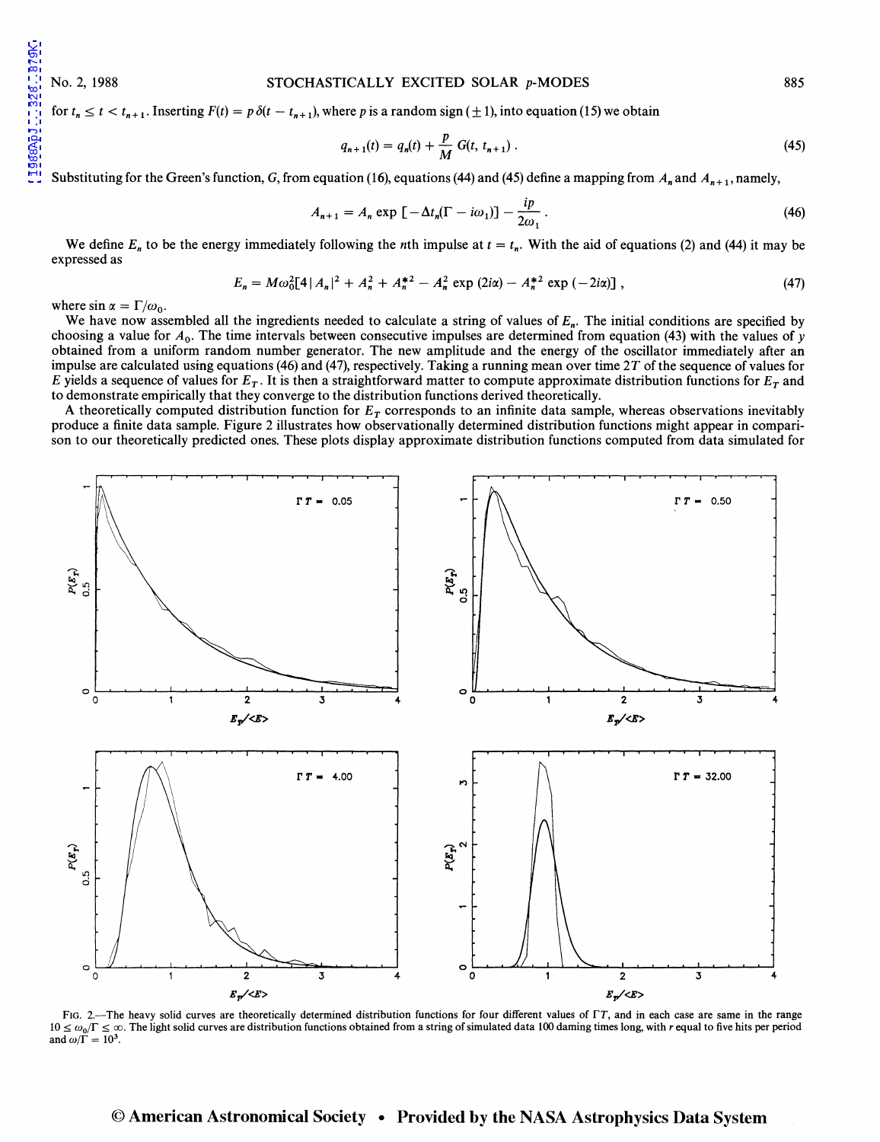1988ApJ...328..879K

## No. 2, 1988 STOCHASTICALLY EXCITED SOLAR p-MODES

for  $t_n \leq t < t_{n+1}$ . Inserting  $F(t) = p \delta(t - t_{n+1})$ , where p is a random sign ( $\pm$  1), into equation (15) we obtain

$$
q_{n+1}(t) = q_n(t) + \frac{p}{M} G(t, t_{n+1}).
$$
\n(45)

Substituting for the Green's function, G, from equation (16), equations (44) and (45) define a mapping from  $A_n$  and  $A_{n+1}$ , namely,

$$
A_{n+1} = A_n \exp\left[-\Delta t_n(\Gamma - i\omega_1)\right] - \frac{ip}{2\omega_1} \,. \tag{46}
$$

We define  $E_n$  to be the energy immediately following the *n*th impulse at  $t = t_n$ . With the aid of equations (2) and (44) it may be expressed as

$$
E_n = M\omega_0^2 [4 |A_n|^2 + A_n^2 + A_n^{*2} - A_n^2 \exp(2i\alpha) - A_n^{*2} \exp(-2i\alpha)] ,
$$
 (47)

where  $\sin \alpha = \Gamma/\omega_0$ .

We have now assembled all the ingredients needed to calculate a string of values of  $E_n$ . The initial conditions are specified by choosing a value for  $A_0$ . The time intervals between consecutive impulses are determined from equation (43) with the values of y obtained from a uniform random number generator. The new amplitude and the energy of the oscillator immediately after an impulse are calculated using equations (46) and (47), respectively. Taking a running mean over time *2T* of the sequence of values for *E* yields a sequence of values for  $E_T$ . It is then a straightforward matter to compute approximate distribution functions for  $E_T$  and to demonstrate empirically that they converge to the distribution functions derived theoretically.

A theoretically computed distribution function for  $E<sub>T</sub>$  corresponds to an infinite data sample, whereas observations inevitably produce a finite data sample. Figure 2 illustrates how observationally determined distribution functions might appear in comparison to our theoretically predicted ones. These plots display approximate distribution functions computed from data simulated for



FIG. 2.-The heavy solid curves are theoretically determined distribution functions for four different values of  $\Gamma T$ , and in each case are same in the range  $10 \le \omega_0/\Gamma \le \infty$ . The light solid curves are distribution functions obtained from a string of simulated data 100 daming times long, with r equal to five hits per period  $10 \le \omega_0/\Gamma \le \infty$ . and  $\omega/\Gamma = 10^3$ .

# © American Astronomical Society • Provided by the NASA Astrophysics Data System

885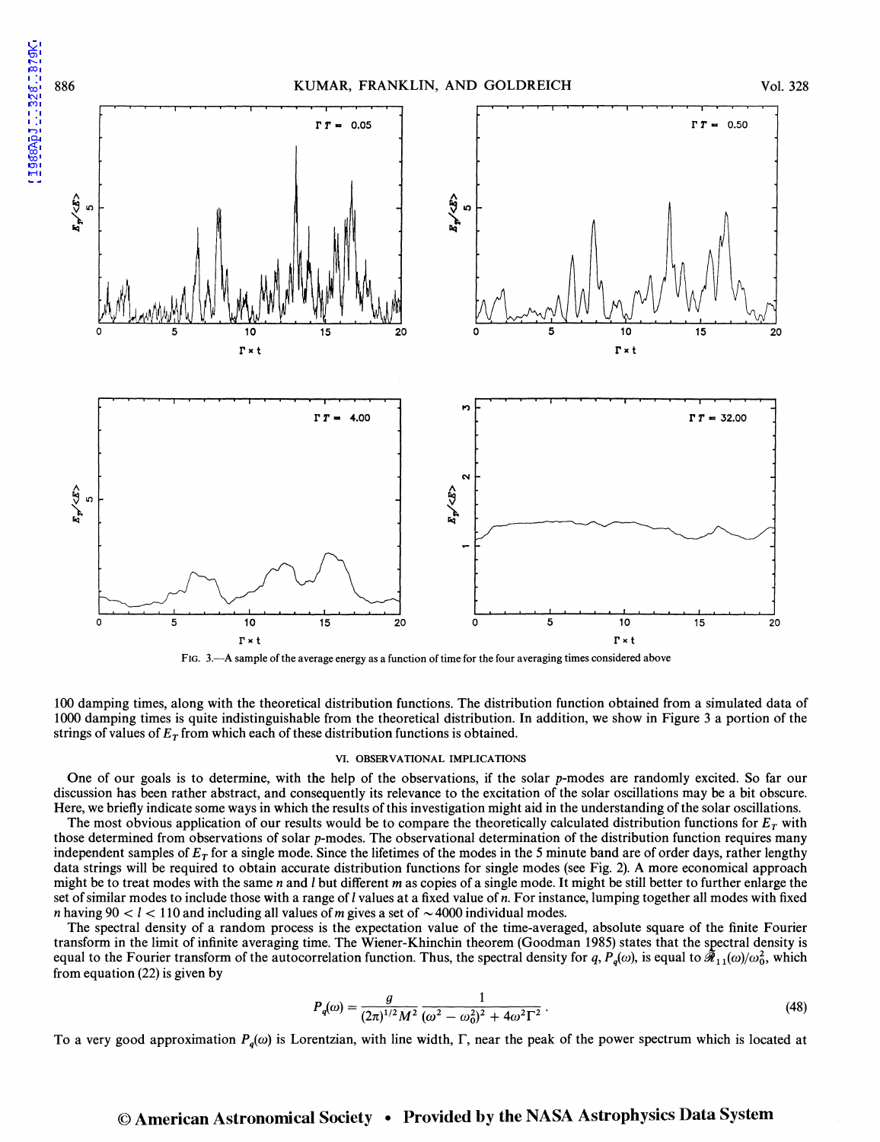



100 damping times, along with the theoretical distribution functions. The distribution function obtained from a simulated data of 1000 damping times is quite indistinguishable from the theoretical distribution. In addition, we show in Figure 3 a portion of the strings of values of  $E_T$  from which each of these distribution functions is obtained.

#### VI. OBSERVATIONAL IMPLICATIONS

One of our goals is to determine, with the help of the observations, if the solar p-modes are randomly excited. So far our discussion has been rather abstract, and consequently its relevance to the excitation of the solar oscillations may be a bit obscure. Here, we briefly indicate some ways in which the results of this investigation might aid in the understanding of the solar oscillations.

The most obvious application of our results would be to compare the theoretically calculated distribution functions for  $E_T$  with those determined from observations of solar p-modes. The observational determination of the distribution function requires many independent samples of *ET* for a single mode. Since the lifetimes of the modes in the *5* minute band are of order days, rather lengthy data strings will be required to obtain accurate distribution functions for single modes (see Fig. 2). A more economical approach might be to treat modes with the same *n* and I but different *m* as copies of a single mode. It might be still better to further enlarge the set of similar modes to include those with a range of I values at a fixed value of *n.* For instance, lumping together all modes with fixed *n* having  $90 < l < 110$  and including all values of *m* gives a set of  $\sim$  4000 individual modes.

The spectral density of a random process is the expectation value of the time-averaged, absolute square of the finite Fourier transform in the limit of infinite averaging time. The Wiener-Khinchin theorem (Goodman 1985) states that the spectral density is equal to the Fourier transform of the autocorrelation function. Thus, the spectral density for *q*,  $P_q(\omega)$ , is equal to  $\tilde{\mathcal{R}}_{11}(\omega)/\omega_0^2$ , which from equation (22) is given by

$$
P_q(\omega) = \frac{g}{(2\pi)^{1/2} M^2} \frac{1}{(\omega^2 - \omega_0^2)^2 + 4\omega^2 \Gamma^2} \,. \tag{48}
$$

To a very good approximation  $P_a(\omega)$  is Lorentzian, with line width,  $\Gamma$ , near the peak of the power spectrum which is located at